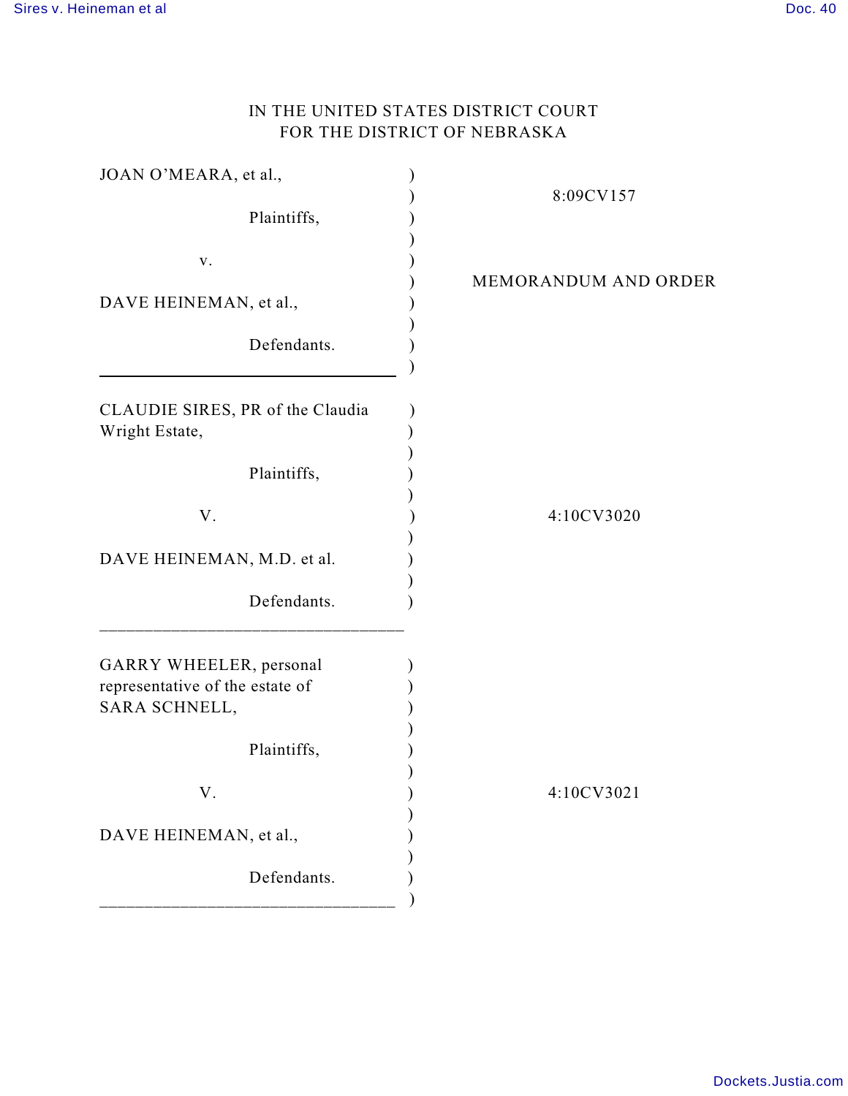## IN THE UNITED STATES DISTRICT COURT FOR THE DISTRICT OF NEBRASKA

| JOAN O'MEARA, et al.,                                                       | 8:09CV157            |
|-----------------------------------------------------------------------------|----------------------|
| Plaintiffs,                                                                 |                      |
| v.                                                                          | MEMORANDUM AND ORDER |
| DAVE HEINEMAN, et al.,                                                      |                      |
| Defendants.                                                                 |                      |
| CLAUDIE SIRES, PR of the Claudia<br>Wright Estate,                          |                      |
| Plaintiffs,                                                                 |                      |
| V.                                                                          | 4:10CV3020           |
| DAVE HEINEMAN, M.D. et al.                                                  |                      |
| Defendants.                                                                 |                      |
| GARRY WHEELER, personal<br>representative of the estate of<br>SARA SCHNELL, |                      |
| Plaintiffs,                                                                 |                      |
| V.                                                                          | 4:10CV3021           |
| DAVE HEINEMAN, et al.,                                                      |                      |
| Defendants.                                                                 |                      |